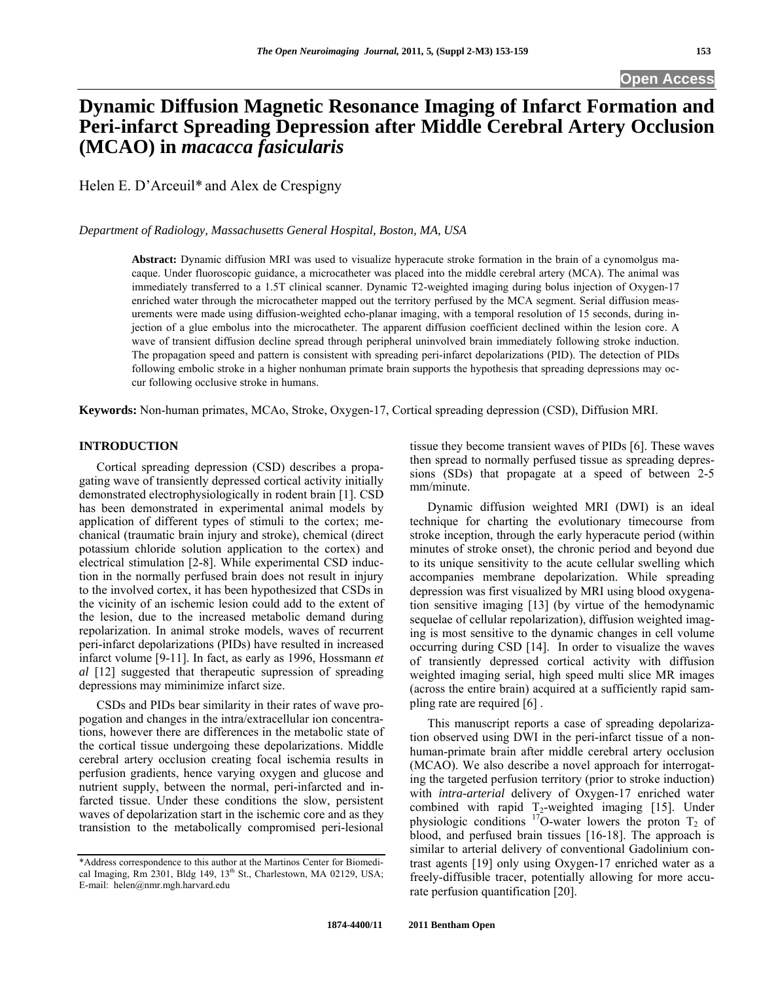# **Dynamic Diffusion Magnetic Resonance Imaging of Infarct Formation and Peri-infarct Spreading Depression after Middle Cerebral Artery Occlusion (MCAO) in** *macacca fasicularis*

Helen E. D'Arceuil\* and Alex de Crespigny

*Department of Radiology, Massachusetts General Hospital, Boston, MA, USA* 

**Abstract:** Dynamic diffusion MRI was used to visualize hyperacute stroke formation in the brain of a cynomolgus macaque. Under fluoroscopic guidance, a microcatheter was placed into the middle cerebral artery (MCA). The animal was immediately transferred to a 1.5T clinical scanner. Dynamic T2-weighted imaging during bolus injection of Oxygen-17 enriched water through the microcatheter mapped out the territory perfused by the MCA segment. Serial diffusion measurements were made using diffusion-weighted echo-planar imaging, with a temporal resolution of 15 seconds, during injection of a glue embolus into the microcatheter. The apparent diffusion coefficient declined within the lesion core. A wave of transient diffusion decline spread through peripheral uninvolved brain immediately following stroke induction. The propagation speed and pattern is consistent with spreading peri-infarct depolarizations (PID). The detection of PIDs following embolic stroke in a higher nonhuman primate brain supports the hypothesis that spreading depressions may occur following occlusive stroke in humans.

**Keywords:** Non-human primates, MCAo, Stroke, Oxygen-17, Cortical spreading depression (CSD), Diffusion MRI.

# **INTRODUCTION**

 Cortical spreading depression (CSD) describes a propagating wave of transiently depressed cortical activity initially demonstrated electrophysiologically in rodent brain [1]. CSD has been demonstrated in experimental animal models by application of different types of stimuli to the cortex; mechanical (traumatic brain injury and stroke), chemical (direct potassium chloride solution application to the cortex) and electrical stimulation [2-8]. While experimental CSD induction in the normally perfused brain does not result in injury to the involved cortex, it has been hypothesized that CSDs in the vicinity of an ischemic lesion could add to the extent of the lesion, due to the increased metabolic demand during repolarization. In animal stroke models, waves of recurrent peri-infarct depolarizations (PIDs) have resulted in increased infarct volume [9-11]. In fact, as early as 1996, Hossmann *et al* [12] suggested that therapeutic supression of spreading depressions may miminimize infarct size.

 CSDs and PIDs bear similarity in their rates of wave propogation and changes in the intra/extracellular ion concentrations, however there are differences in the metabolic state of the cortical tissue undergoing these depolarizations. Middle cerebral artery occlusion creating focal ischemia results in perfusion gradients, hence varying oxygen and glucose and nutrient supply, between the normal, peri-infarcted and infarcted tissue. Under these conditions the slow, persistent waves of depolarization start in the ischemic core and as they transistion to the metabolically compromised peri-lesional

tissue they become transient waves of PIDs [6]. These waves then spread to normally perfused tissue as spreading depressions (SDs) that propagate at a speed of between 2-5 mm/minute.

 Dynamic diffusion weighted MRI (DWI) is an ideal technique for charting the evolutionary timecourse from stroke inception, through the early hyperacute period (within minutes of stroke onset), the chronic period and beyond due to its unique sensitivity to the acute cellular swelling which accompanies membrane depolarization. While spreading depression was first visualized by MRI using blood oxygenation sensitive imaging [13] (by virtue of the hemodynamic sequelae of cellular repolarization), diffusion weighted imaging is most sensitive to the dynamic changes in cell volume occurring during CSD [14]. In order to visualize the waves of transiently depressed cortical activity with diffusion weighted imaging serial, high speed multi slice MR images (across the entire brain) acquired at a sufficiently rapid sampling rate are required [6] .

 This manuscript reports a case of spreading depolarization observed using DWI in the peri-infarct tissue of a nonhuman-primate brain after middle cerebral artery occlusion (MCAO). We also describe a novel approach for interrogating the targeted perfusion territory (prior to stroke induction) with *intra-arterial* delivery of Oxygen-17 enriched water combined with rapid  $T_2$ -weighted imaging [15]. Under physiologic conditions  $17$ O-water lowers the proton T<sub>2</sub> of blood, and perfused brain tissues [16-18]. The approach is similar to arterial delivery of conventional Gadolinium contrast agents [19] only using Oxygen-17 enriched water as a freely-diffusible tracer, potentially allowing for more accurate perfusion quantification [20].

<sup>\*</sup>Address correspondence to this author at the Martinos Center for Biomedical Imaging, Rm 2301, Bldg 149, 13<sup>th</sup> St., Charlestown, MA 02129, USA; E-mail: helen@nmr.mgh.harvard.edu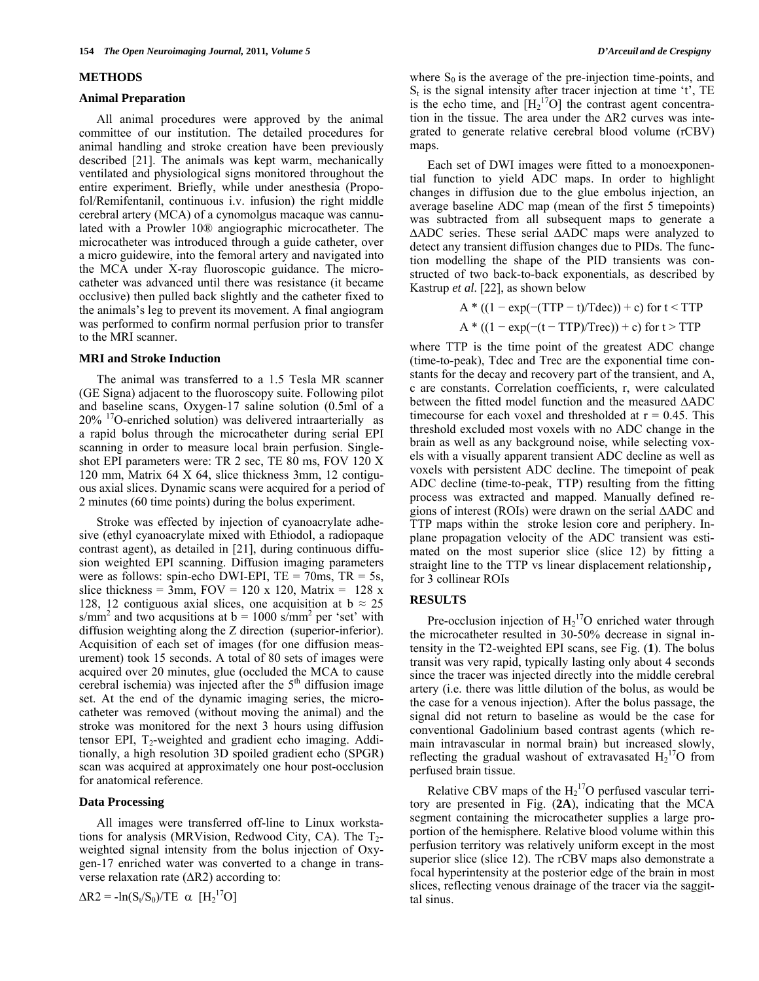#### **METHODS**

### **Animal Preparation**

 All animal procedures were approved by the animal committee of our institution. The detailed procedures for animal handling and stroke creation have been previously described [21]. The animals was kept warm, mechanically ventilated and physiological signs monitored throughout the entire experiment. Briefly, while under anesthesia (Propofol/Remifentanil, continuous i.v. infusion) the right middle cerebral artery (MCA) of a cynomolgus macaque was cannulated with a Prowler 10® angiographic microcatheter. The microcatheter was introduced through a guide catheter, over a micro guidewire, into the femoral artery and navigated into the MCA under X-ray fluoroscopic guidance. The microcatheter was advanced until there was resistance (it became occlusive) then pulled back slightly and the catheter fixed to the animals's leg to prevent its movement. A final angiogram was performed to confirm normal perfusion prior to transfer to the MRI scanner.

### **MRI and Stroke Induction**

 The animal was transferred to a 1.5 Tesla MR scanner (GE Signa) adjacent to the fluoroscopy suite. Following pilot and baseline scans, Oxygen-17 saline solution (0.5ml of a  $20\%$  <sup>17</sup>O-enriched solution) was delivered intraarterially as a rapid bolus through the microcatheter during serial EPI scanning in order to measure local brain perfusion. Singleshot EPI parameters were: TR 2 sec, TE 80 ms, FOV 120 X 120 mm, Matrix 64 X 64, slice thickness 3mm, 12 contiguous axial slices. Dynamic scans were acquired for a period of 2 minutes (60 time points) during the bolus experiment.

 Stroke was effected by injection of cyanoacrylate adhesive (ethyl cyanoacrylate mixed with Ethiodol, a radiopaque contrast agent), as detailed in [21], during continuous diffusion weighted EPI scanning. Diffusion imaging parameters were as follows: spin-echo DWI-EPI,  $TE = 70$ ms,  $TR = 5s$ , slice thickness = 3mm,  $FOV = 120 \times 120$ , Matrix = 128 x 128, 12 contiguous axial slices, one acquisition at  $b \approx 25$ s/mm<sup>2</sup> and two acqusitions at  $b = 1000$  s/mm<sup>2</sup> per 'set' with diffusion weighting along the Z direction (superior-inferior). Acquisition of each set of images (for one diffusion measurement) took 15 seconds. A total of 80 sets of images were acquired over 20 minutes, glue (occluded the MCA to cause cerebral ischemia) was injected after the  $5<sup>th</sup>$  diffusion image set. At the end of the dynamic imaging series, the microcatheter was removed (without moving the animal) and the stroke was monitored for the next 3 hours using diffusion tensor EPI,  $T_2$ -weighted and gradient echo imaging. Additionally, a high resolution 3D spoiled gradient echo (SPGR) scan was acquired at approximately one hour post-occlusion for anatomical reference.

### **Data Processing**

 All images were transferred off-line to Linux workstations for analysis (MRVision, Redwood City, CA). The  $T_2$ weighted signal intensity from the bolus injection of Oxygen-17 enriched water was converted to a change in transverse relaxation rate  $(AR2)$  according to:

 $\Delta R2 = -\ln(S_t/S_0)/TE \propto [H_2^{17}O]$ 

where  $S_0$  is the average of the pre-injection time-points, and  $S_t$  is the signal intensity after tracer injection at time 't', TE is the echo time, and  $[H_2^{\ 17}O]$  the contrast agent concentration in the tissue. The area under the  $\Delta R2$  curves was integrated to generate relative cerebral blood volume (rCBV) maps.

 Each set of DWI images were fitted to a monoexponential function to yield ADC maps. In order to highlight changes in diffusion due to the glue embolus injection, an average baseline ADC map (mean of the first 5 timepoints) was subtracted from all subsequent maps to generate a ADC series. These serial ADC maps were analyzed to detect any transient diffusion changes due to PIDs. The function modelling the shape of the PID transients was constructed of two back-to-back exponentials, as described by Kastrup *et al*. [22], as shown below

$$
A * ((1 - exp(-(TTP - t)/Tdec)) + c) for t < TTP
$$
  

$$
A * ((1 - exp(-(t - TTP)/Trec)) + c) for t > TTP
$$

where TTP is the time point of the greatest ADC change (time-to-peak), Tdec and Trec are the exponential time constants for the decay and recovery part of the transient, and A, c are constants. Correlation coefficients, r, were calculated between the fitted model function and the measured ADC timecourse for each voxel and thresholded at  $r = 0.45$ . This threshold excluded most voxels with no ADC change in the brain as well as any background noise, while selecting voxels with a visually apparent transient ADC decline as well as voxels with persistent ADC decline. The timepoint of peak ADC decline (time-to-peak, TTP) resulting from the fitting process was extracted and mapped. Manually defined regions of interest (ROIs) were drawn on the serial ADC and TTP maps within the stroke lesion core and periphery. Inplane propagation velocity of the ADC transient was estimated on the most superior slice (slice 12) by fitting a straight line to the TTP vs linear displacement relationship, for 3 collinear ROIs

# **RESULTS**

Pre-occlusion injection of  $H_2$ <sup>17</sup>O enriched water through the microcatheter resulted in 30-50% decrease in signal intensity in the T2-weighted EPI scans, see Fig. (**1**). The bolus transit was very rapid, typically lasting only about 4 seconds since the tracer was injected directly into the middle cerebral artery (i.e. there was little dilution of the bolus, as would be the case for a venous injection). After the bolus passage, the signal did not return to baseline as would be the case for conventional Gadolinium based contrast agents (which remain intravascular in normal brain) but increased slowly, reflecting the gradual washout of extravasated  $H_2$ <sup>17</sup>O from perfused brain tissue.

Relative CBV maps of the  $H_2$ <sup>17</sup>O perfused vascular territory are presented in Fig. (**2A**), indicating that the MCA segment containing the microcatheter supplies a large proportion of the hemisphere. Relative blood volume within this perfusion territory was relatively uniform except in the most superior slice (slice 12). The rCBV maps also demonstrate a focal hyperintensity at the posterior edge of the brain in most slices, reflecting venous drainage of the tracer via the saggittal sinus.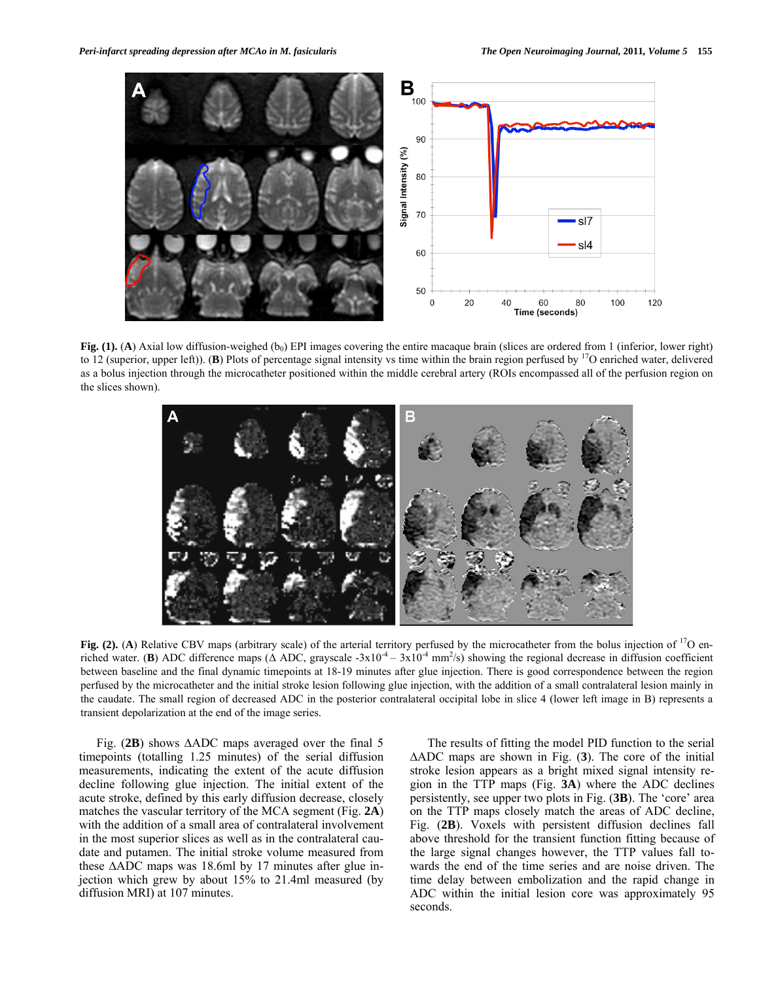

**Fig. (1). (A**) Axial low diffusion-weighed  $(b_0)$  EPI images covering the entire macaque brain (slices are ordered from 1 (inferior, lower right) to 12 (superior, upper left)). (**B**) Plots of percentage signal intensity vs time within the brain region perfused by 17O enriched water, delivered as a bolus injection through the microcatheter positioned within the middle cerebral artery (ROIs encompassed all of the perfusion region on the slices shown).



**Fig.** (2). (A) Relative CBV maps (arbitrary scale) of the arterial territory perfused by the microcatheter from the bolus injection of <sup>17</sup>O enriched water. (**B**) ADC difference maps ( $\Delta$  ADC, grayscale -3x10<sup>-4</sup> – 3x10<sup>-4</sup> mm<sup>2</sup>/s) showing the regional decrease in diffusion coefficient between baseline and the final dynamic timepoints at 18-19 minutes after glue injection. There is good correspondence between the region perfused by the microcatheter and the initial stroke lesion following glue injection, with the addition of a small contralateral lesion mainly in the caudate. The small region of decreased ADC in the posterior contralateral occipital lobe in slice 4 (lower left image in B) represents a transient depolarization at the end of the image series.

 Fig. (**2B**) shows ADC maps averaged over the final 5 timepoints (totalling 1.25 minutes) of the serial diffusion measurements, indicating the extent of the acute diffusion decline following glue injection. The initial extent of the acute stroke, defined by this early diffusion decrease, closely matches the vascular territory of the MCA segment (Fig. **2A**) with the addition of a small area of contralateral involvement in the most superior slices as well as in the contralateral caudate and putamen. The initial stroke volume measured from these  $\triangle ADC$  maps was 18.6ml by 17 minutes after glue injection which grew by about 15% to 21.4ml measured (by diffusion MRI) at 107 minutes.

 The results of fitting the model PID function to the serial ADC maps are shown in Fig. (**3**). The core of the initial stroke lesion appears as a bright mixed signal intensity region in the TTP maps (Fig. **3A**) where the ADC declines persistently, see upper two plots in Fig. (**3B**). The 'core' area on the TTP maps closely match the areas of ADC decline, Fig. (**2B**). Voxels with persistent diffusion declines fall above threshold for the transient function fitting because of the large signal changes however, the TTP values fall towards the end of the time series and are noise driven. The time delay between embolization and the rapid change in ADC within the initial lesion core was approximately 95 seconds.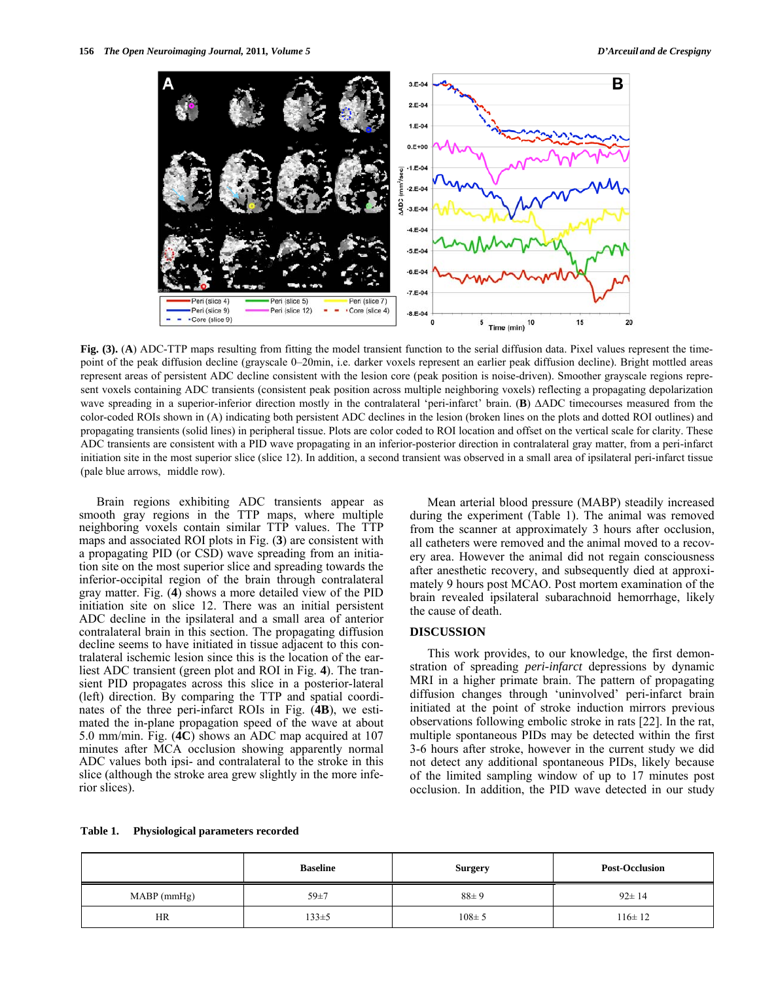

**Fig. (3).** (**A**) ADC-TTP maps resulting from fitting the model transient function to the serial diffusion data. Pixel values represent the timepoint of the peak diffusion decline (grayscale 0–20min, i.e. darker voxels represent an earlier peak diffusion decline). Bright mottled areas represent areas of persistent ADC decline consistent with the lesion core (peak position is noise-driven). Smoother grayscale regions represent voxels containing ADC transients (consistent peak position across multiple neighboring voxels) reflecting a propagating depolarization wave spreading in a superior-inferior direction mostly in the contralateral 'peri-infarct' brain. (**B**)  $\triangle ADC$  timecourses measured from the color-coded ROIs shown in (A) indicating both persistent ADC declines in the lesion (broken lines on the plots and dotted ROI outlines) and propagating transients (solid lines) in peripheral tissue. Plots are color coded to ROI location and offset on the vertical scale for clarity. These ADC transients are consistent with a PID wave propagating in an inferior-posterior direction in contralateral gray matter, from a peri-infarct initiation site in the most superior slice (slice 12). In addition, a second transient was observed in a small area of ipsilateral peri-infarct tissue (pale blue arrows, middle row).

 Brain regions exhibiting ADC transients appear as smooth gray regions in the TTP maps, where multiple neighboring voxels contain similar TTP values. The TTP maps and associated ROI plots in Fig. (**3**) are consistent with a propagating PID (or CSD) wave spreading from an initiation site on the most superior slice and spreading towards the inferior-occipital region of the brain through contralateral gray matter. Fig. (**4**) shows a more detailed view of the PID initiation site on slice 12. There was an initial persistent ADC decline in the ipsilateral and a small area of anterior contralateral brain in this section. The propagating diffusion decline seems to have initiated in tissue adjacent to this contralateral ischemic lesion since this is the location of the earliest ADC transient (green plot and ROI in Fig. **4**). The transient PID propagates across this slice in a posterior-lateral (left) direction. By comparing the TTP and spatial coordinates of the three peri-infarct ROIs in Fig. (**4B**), we estimated the in-plane propagation speed of the wave at about 5.0 mm/min. Fig. (**4C**) shows an ADC map acquired at 107 minutes after MCA occlusion showing apparently normal ADC values both ipsi- and contralateral to the stroke in this slice (although the stroke area grew slightly in the more inferior slices).

 Mean arterial blood pressure (MABP) steadily increased during the experiment (Table 1). The animal was removed from the scanner at approximately 3 hours after occlusion, all catheters were removed and the animal moved to a recovery area. However the animal did not regain consciousness after anesthetic recovery, and subsequently died at approximately 9 hours post MCAO. Post mortem examination of the brain revealed ipsilateral subarachnoid hemorrhage, likely the cause of death.

# **DISCUSSION**

 This work provides, to our knowledge, the first demonstration of spreading *peri-infarct* depressions by dynamic MRI in a higher primate brain. The pattern of propagating diffusion changes through 'uninvolved' peri-infarct brain initiated at the point of stroke induction mirrors previous observations following embolic stroke in rats [22]. In the rat, multiple spontaneous PIDs may be detected within the first 3-6 hours after stroke, however in the current study we did not detect any additional spontaneous PIDs, likely because of the limited sampling window of up to 17 minutes post occlusion. In addition, the PID wave detected in our study

| Table 1. | <b>Physiological parameters recorded</b> |  |
|----------|------------------------------------------|--|
|          |                                          |  |

|             | <b>Baseline</b> | <b>Surgery</b> | <b>Post-Occlusion</b> |
|-------------|-----------------|----------------|-----------------------|
| MABP (mmHg) | $59 + 7$        | $88 \pm 9$     | $92 \pm 14$           |
| <b>HR</b>   | $133 \pm 5$     | $108 \pm 5$    | $116 \pm 12$          |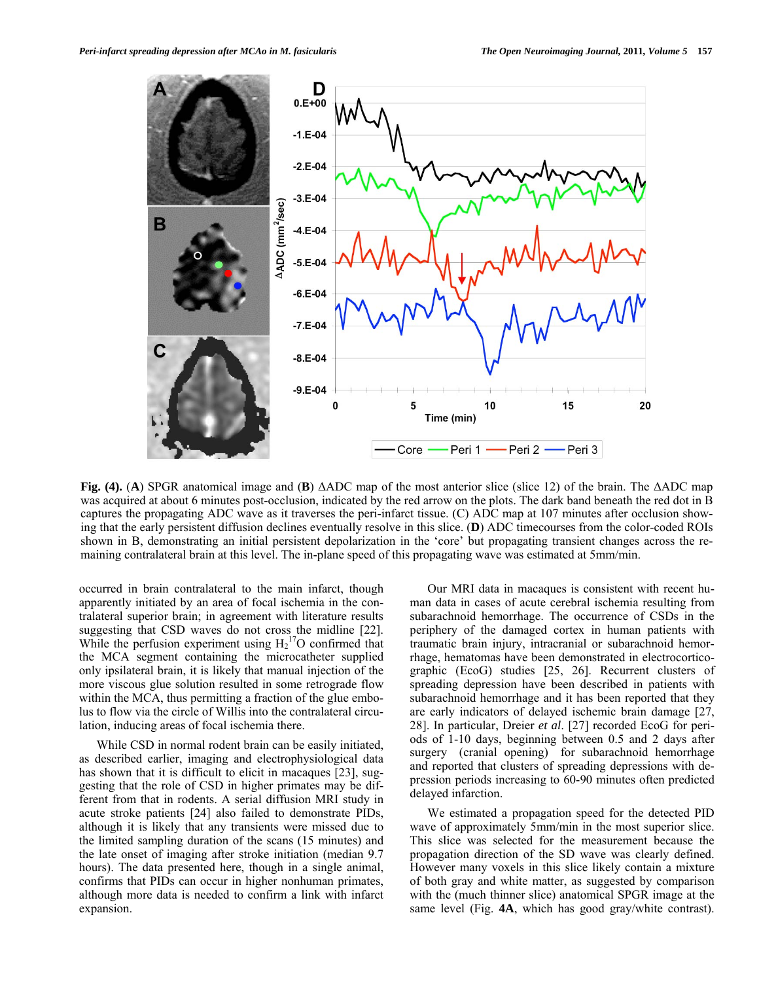

**Fig. (4).** (**A**) SPGR anatomical image and (**B**) ΔADC map of the most anterior slice (slice 12) of the brain. The ΔADC map was acquired at about 6 minutes post-occlusion, indicated by the red arrow on the plots. The dark band beneath the red dot in B captures the propagating ADC wave as it traverses the peri-infarct tissue. (C) ADC map at 107 minutes after occlusion showing that the early persistent diffusion declines eventually resolve in this slice. (**D**) ADC timecourses from the color-coded ROIs shown in B, demonstrating an initial persistent depolarization in the 'core' but propagating transient changes across the remaining contralateral brain at this level. The in-plane speed of this propagating wave was estimated at 5mm/min.

occurred in brain contralateral to the main infarct, though apparently initiated by an area of focal ischemia in the contralateral superior brain; in agreement with literature results suggesting that CSD waves do not cross the midline [22]. While the perfusion experiment using  $H_2$ <sup>17</sup>O confirmed that the MCA segment containing the microcatheter supplied only ipsilateral brain, it is likely that manual injection of the more viscous glue solution resulted in some retrograde flow within the MCA, thus permitting a fraction of the glue embolus to flow via the circle of Willis into the contralateral circulation, inducing areas of focal ischemia there.

 While CSD in normal rodent brain can be easily initiated, as described earlier, imaging and electrophysiological data has shown that it is difficult to elicit in macaques [23], suggesting that the role of CSD in higher primates may be different from that in rodents. A serial diffusion MRI study in acute stroke patients [24] also failed to demonstrate PIDs, although it is likely that any transients were missed due to the limited sampling duration of the scans (15 minutes) and the late onset of imaging after stroke initiation (median 9.7 hours). The data presented here, though in a single animal, confirms that PIDs can occur in higher nonhuman primates, although more data is needed to confirm a link with infarct expansion.

 Our MRI data in macaques is consistent with recent human data in cases of acute cerebral ischemia resulting from subarachnoid hemorrhage. The occurrence of CSDs in the periphery of the damaged cortex in human patients with traumatic brain injury, intracranial or subarachnoid hemorrhage, hematomas have been demonstrated in electrocorticographic (EcoG) studies [25, 26]. Recurrent clusters of spreading depression have been described in patients with subarachnoid hemorrhage and it has been reported that they are early indicators of delayed ischemic brain damage [27, 28]. In particular, Dreier *et al*. [27] recorded EcoG for periods of 1-10 days, beginning between 0.5 and 2 days after surgery (cranial opening) for subarachnoid hemorrhage and reported that clusters of spreading depressions with depression periods increasing to 60-90 minutes often predicted delayed infarction.

 We estimated a propagation speed for the detected PID wave of approximately 5mm/min in the most superior slice. This slice was selected for the measurement because the propagation direction of the SD wave was clearly defined. However many voxels in this slice likely contain a mixture of both gray and white matter, as suggested by comparison with the (much thinner slice) anatomical SPGR image at the same level (Fig. **4A**, which has good gray/white contrast).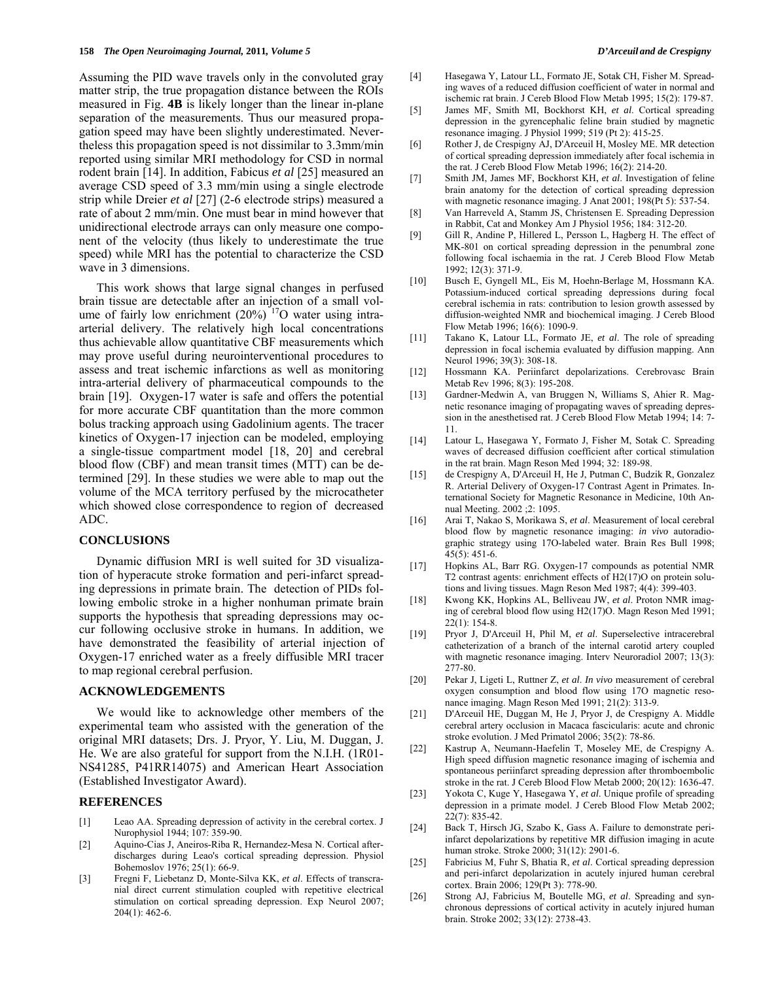Assuming the PID wave travels only in the convoluted gray matter strip, the true propagation distance between the ROIs measured in Fig. **4B** is likely longer than the linear in-plane separation of the measurements. Thus our measured propagation speed may have been slightly underestimated. Nevertheless this propagation speed is not dissimilar to 3.3mm/min reported using similar MRI methodology for CSD in normal rodent brain [14]. In addition, Fabicus *et al* [25] measured an average CSD speed of 3.3 mm/min using a single electrode strip while Dreier *et al* [27] (2-6 electrode strips) measured a rate of about 2 mm/min. One must bear in mind however that unidirectional electrode arrays can only measure one component of the velocity (thus likely to underestimate the true speed) while MRI has the potential to characterize the CSD wave in 3 dimensions.

 This work shows that large signal changes in perfused brain tissue are detectable after an injection of a small volume of fairly low enrichment  $(20\%)$ <sup>17</sup>O water using intraarterial delivery. The relatively high local concentrations thus achievable allow quantitative CBF measurements which may prove useful during neurointerventional procedures to assess and treat ischemic infarctions as well as monitoring intra-arterial delivery of pharmaceutical compounds to the brain [19]. Oxygen-17 water is safe and offers the potential for more accurate CBF quantitation than the more common bolus tracking approach using Gadolinium agents. The tracer kinetics of Oxygen-17 injection can be modeled, employing a single-tissue compartment model [18, 20] and cerebral blood flow (CBF) and mean transit times (MTT) can be determined [29]. In these studies we were able to map out the volume of the MCA territory perfused by the microcatheter which showed close correspondence to region of decreased ADC.

# **CONCLUSIONS**

 Dynamic diffusion MRI is well suited for 3D visualization of hyperacute stroke formation and peri-infarct spreading depressions in primate brain. The detection of PIDs following embolic stroke in a higher nonhuman primate brain supports the hypothesis that spreading depressions may occur following occlusive stroke in humans. In addition, we have demonstrated the feasibility of arterial injection of Oxygen-17 enriched water as a freely diffusible MRI tracer to map regional cerebral perfusion.

## **ACKNOWLEDGEMENTS**

 We would like to acknowledge other members of the experimental team who assisted with the generation of the original MRI datasets; Drs. J. Pryor, Y. Liu, M. Duggan, J. He. We are also grateful for support from the N.I.H. (1R01- NS41285, P41RR14075) and American Heart Association (Established Investigator Award).

# **REFERENCES**

- [1] Leao AA. Spreading depression of activity in the cerebral cortex. J Nurophysiol 1944; 107: 359-90.
- [2] Aquino-Cias J, Aneiros-Riba R, Hernandez-Mesa N. Cortical afterdischarges during Leao's cortical spreading depression. Physiol Bohemoslov 1976; 25(1): 66-9.
- [3] Fregni F, Liebetanz D, Monte-Silva KK, *et al*. Effects of transcranial direct current stimulation coupled with repetitive electrical stimulation on cortical spreading depression. Exp Neurol 2007; 204(1): 462-6.
- [4] Hasegawa Y, Latour LL, Formato JE, Sotak CH, Fisher M. Spreading waves of a reduced diffusion coefficient of water in normal and ischemic rat brain. J Cereb Blood Flow Metab 1995; 15(2): 179-87.
- [5] James MF, Smith MI, Bockhorst KH, *et al*. Cortical spreading depression in the gyrencephalic feline brain studied by magnetic resonance imaging. J Physiol 1999; 519 (Pt 2): 415-25.
- [6] Rother J, de Crespigny AJ, D'Arceuil H, Mosley ME. MR detection of cortical spreading depression immediately after focal ischemia in the rat. J Cereb Blood Flow Metab 1996; 16(2): 214-20.
- [7] Smith JM, James MF, Bockhorst KH, *et al*. Investigation of feline brain anatomy for the detection of cortical spreading depression with magnetic resonance imaging. J Anat 2001; 198(Pt 5): 537-54.
- [8] Van Harreveld A, Stamm JS, Christensen E. Spreading Depression in Rabbit, Cat and Monkey Am J Physiol 1956; 184: 312-20.
- [9] Gill R, Andine P, Hillered L, Persson L, Hagberg H. The effect of MK-801 on cortical spreading depression in the penumbral zone following focal ischaemia in the rat. J Cereb Blood Flow Metab 1992; 12(3): 371-9.
- [10] Busch E, Gyngell ML, Eis M, Hoehn-Berlage M, Hossmann KA. Potassium-induced cortical spreading depressions during focal cerebral ischemia in rats: contribution to lesion growth assessed by diffusion-weighted NMR and biochemical imaging. J Cereb Blood Flow Metab 1996; 16(6): 1090-9.
- [11] Takano K, Latour LL, Formato JE, *et al*. The role of spreading depression in focal ischemia evaluated by diffusion mapping. Ann Neurol 1996; 39(3): 308-18.
- [12] Hossmann KA. Periinfarct depolarizations. Cerebrovasc Brain Metab Rev 1996; 8(3): 195-208.
- [13] Gardner-Medwin A, van Bruggen N, Williams S, Ahier R. Magnetic resonance imaging of propagating waves of spreading depression in the anesthetised rat. J Cereb Blood Flow Metab 1994; 14: 7- 11.
- [14] Latour L, Hasegawa Y, Formato J, Fisher M, Sotak C. Spreading waves of decreased diffusion coefficient after cortical stimulation in the rat brain. Magn Reson Med 1994; 32: 189-98.
- [15] de Crespigny A, D'Arceuil H, He J, Putman C, Budzik R, Gonzalez R. Arterial Delivery of Oxygen-17 Contrast Agent in Primates. International Society for Magnetic Resonance in Medicine, 10th Annual Meeting. 2002 ;2: 1095.
- [16] Arai T, Nakao S, Morikawa S, *et al*. Measurement of local cerebral blood flow by magnetic resonance imaging: *in vivo* autoradiographic strategy using 17O-labeled water. Brain Res Bull 1998; 45(5): 451-6.
- [17] Hopkins AL, Barr RG. Oxygen-17 compounds as potential NMR T2 contrast agents: enrichment effects of H2(17)O on protein solutions and living tissues. Magn Reson Med 1987; 4(4): 399-403.
- [18] Kwong KK, Hopkins AL, Belliveau JW, *et al*. Proton NMR imaging of cerebral blood flow using H2(17)O. Magn Reson Med 1991; 22(1): 154-8.
- [19] Pryor J, D'Arceuil H, Phil M, *et al*. Superselective intracerebral catheterization of a branch of the internal carotid artery coupled with magnetic resonance imaging. Interv Neuroradiol 2007; 13(3): 277-80.
- [20] Pekar J, Ligeti L, Ruttner Z, *et al*. *In vivo* measurement of cerebral oxygen consumption and blood flow using 17O magnetic resonance imaging. Magn Reson Med 1991; 21(2): 313-9.
- [21] D'Arceuil HE, Duggan M, He J, Pryor J, de Crespigny A. Middle cerebral artery occlusion in Macaca fascicularis: acute and chronic stroke evolution. J Med Primatol 2006; 35(2): 78-86.
- [22] Kastrup A, Neumann-Haefelin T, Moseley ME, de Crespigny A. High speed diffusion magnetic resonance imaging of ischemia and spontaneous periinfarct spreading depression after thromboembolic stroke in the rat. J Cereb Blood Flow Metab 2000; 20(12): 1636-47.
- [23] Yokota C, Kuge Y, Hasegawa Y, *et al*. Unique profile of spreading depression in a primate model. J Cereb Blood Flow Metab 2002; 22(7): 835-42.
- [24] Back T, Hirsch JG, Szabo K, Gass A. Failure to demonstrate periinfarct depolarizations by repetitive MR diffusion imaging in acute human stroke. Stroke 2000; 31(12): 2901-6.
- [25] Fabricius M, Fuhr S, Bhatia R, *et al*. Cortical spreading depression and peri-infarct depolarization in acutely injured human cerebral cortex. Brain 2006; 129(Pt 3): 778-90.
- [26] Strong AJ, Fabricius M, Boutelle MG, *et al*. Spreading and synchronous depressions of cortical activity in acutely injured human brain. Stroke 2002; 33(12): 2738-43.